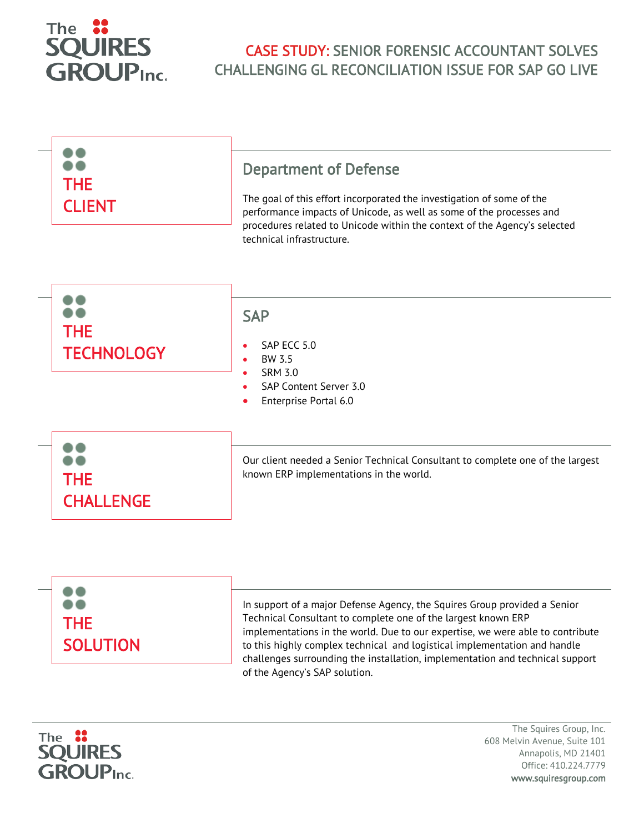

## CASE STUDY: SENIOR FORENSIC ACCOUNTANT SOLVES CHALLENGING GL RECONCILIATION ISSUE FOR SAP GO LIVE

| <b>THE</b><br><b>CLIENT</b>     | <b>Department of Defense</b><br>The goal of this effort incorporated the investigation of some of the<br>performance impacts of Unicode, as well as some of the processes and<br>procedures related to Unicode within the context of the Agency's selected<br>technical infrastructure. |
|---------------------------------|-----------------------------------------------------------------------------------------------------------------------------------------------------------------------------------------------------------------------------------------------------------------------------------------|
| <b>THE</b><br><b>TECHNOLOGY</b> | <b>SAP</b><br>SAP ECC 5.0<br>BW 3.5<br>۰<br><b>SRM 3.0</b><br>$\bullet$<br>SAP Content Server 3.0<br>Enterprise Portal 6.0                                                                                                                                                              |
| <b>THE</b><br><b>CHALLENGE</b>  | Our client needed a Senior Technical Consultant to complete one of the largest<br>known ERP implementations in the world.                                                                                                                                                               |
|                                 | In support of a major Defense Agency, the Squires Group provided a Senior<br>Technical Consultant to complete one of the largest known ERP                                                                                                                                              |

Technical Consultant to complete one of the largest known ERP implementations in the world. Due to our expertise, we were able to contribute to this highly complex technical and logistical implementation and handle challenges surrounding the installation, implementation and technical support of the Agency's SAP solution.



**SOLUTION** 

The Squires Group, Inc. 608 Melvin Avenue, Suite 101 Annapolis, MD 21401 Office: 410.224.7779 www.squiresgroup.com